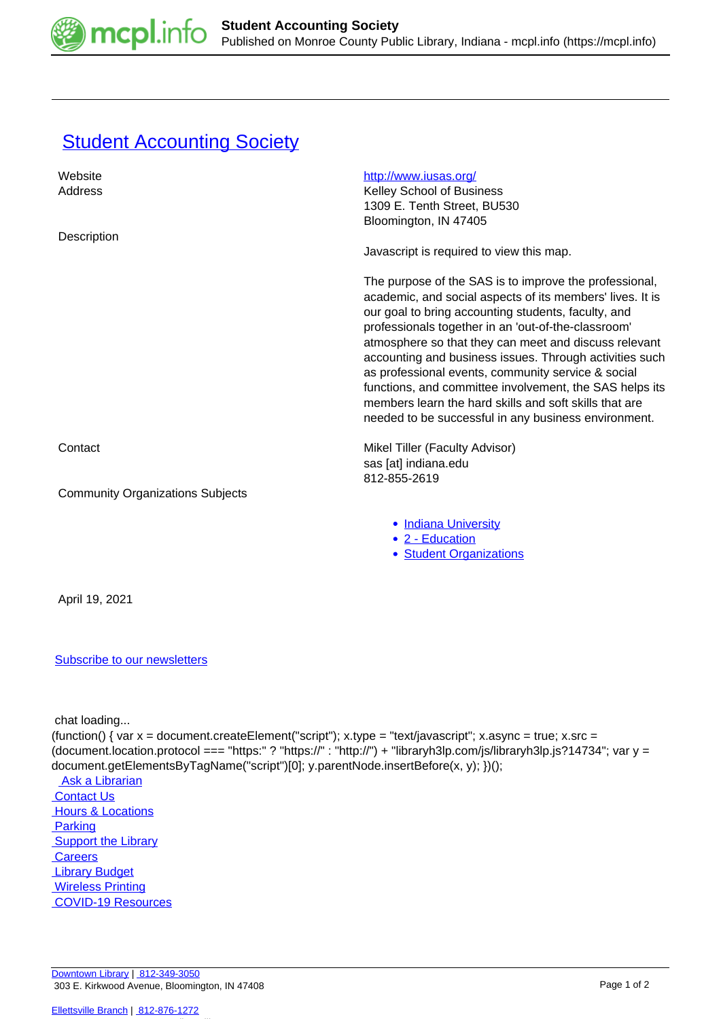

## **[Student Accounting Society](https://mcpl.info/commorg/student-accounting-society)**

| Website                                                                                                               | http://www.iusas.org/                                                                                                                                                                                                                                                                                                                                                                                                                                                                                                                                                                    |
|-----------------------------------------------------------------------------------------------------------------------|------------------------------------------------------------------------------------------------------------------------------------------------------------------------------------------------------------------------------------------------------------------------------------------------------------------------------------------------------------------------------------------------------------------------------------------------------------------------------------------------------------------------------------------------------------------------------------------|
| Address                                                                                                               | Kelley School of Business<br>1309 E. Tenth Street, BU530                                                                                                                                                                                                                                                                                                                                                                                                                                                                                                                                 |
|                                                                                                                       | Bloomington, IN 47405                                                                                                                                                                                                                                                                                                                                                                                                                                                                                                                                                                    |
| Description                                                                                                           | Javascript is required to view this map.                                                                                                                                                                                                                                                                                                                                                                                                                                                                                                                                                 |
|                                                                                                                       | The purpose of the SAS is to improve the professional,<br>academic, and social aspects of its members' lives. It is<br>our goal to bring accounting students, faculty, and<br>professionals together in an 'out-of-the-classroom'<br>atmosphere so that they can meet and discuss relevant<br>accounting and business issues. Through activities such<br>as professional events, community service & social<br>functions, and committee involvement, the SAS helps its<br>members learn the hard skills and soft skills that are<br>needed to be successful in any business environment. |
| Contact                                                                                                               | Mikel Tiller (Faculty Advisor)<br>sas [at] indiana.edu                                                                                                                                                                                                                                                                                                                                                                                                                                                                                                                                   |
| <b>Community Organizations Subjects</b>                                                                               | 812-855-2619                                                                                                                                                                                                                                                                                                                                                                                                                                                                                                                                                                             |
|                                                                                                                       | • Indiana University<br>• 2 - Education<br>• Student Organizations                                                                                                                                                                                                                                                                                                                                                                                                                                                                                                                       |
| April 19, 2021                                                                                                        |                                                                                                                                                                                                                                                                                                                                                                                                                                                                                                                                                                                          |
| <b>Subscribe to our newsletters</b>                                                                                   |                                                                                                                                                                                                                                                                                                                                                                                                                                                                                                                                                                                          |
| chat loading<br>document.getElementsByTagName("script")[0]; y.parentNode.insertBefore(x, y); })();<br>Ask a Librarian | (function() { var x = document.createElement("script"); x.type = "text/javascript"; x.async = true; x.src =<br>(document.location.protocol === "https:" ? "https://" : "http://") + "libraryh3lp.com/js/libraryh3lp.js?14734"; var y =                                                                                                                                                                                                                                                                                                                                                   |

**Ask a Librarian Contact Us Hours & Locations Parking Support the Library Careers**  [Library Budget](https://budgetnotices.in.gov/unit_lookup.aspx?ct=53000) **Wireless Printing**  [COVID-19 Resources](https://mcpl.info/geninfo/local-covid-resources)